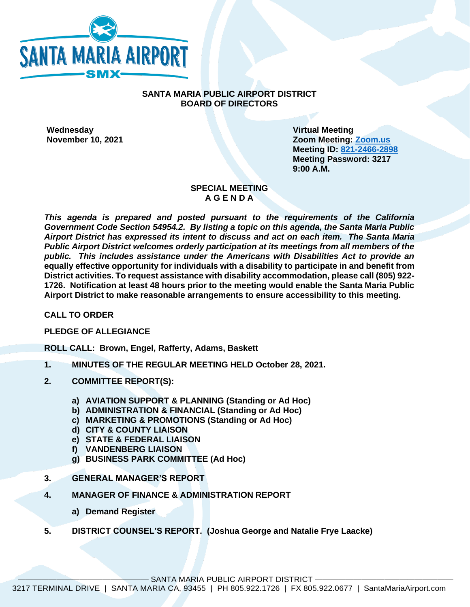

## **SANTA MARIA PUBLIC AIRPORT DISTRICT BOARD OF DIRECTORS**

**Wednesday Virtual Meeting**

**November 10, 2021 Zoom Meeting: [Zoom.us](https://us02web.zoom.us/j/82124662898?pwd=WE5IcndNSjVWL2daYk54K3c0L01KUT09) Meeting ID: [821-2466-2898](https://us02web.zoom.us/j/82124662898?pwd=WE5IcndNSjVWL2daYk54K3c0L01KUT09) Meeting Password: 3217 9:00 A.M.**

### **SPECIAL MEETING A G E N D A**

*This agenda is prepared and posted pursuant to the requirements of the California Government Code Section 54954.2. By listing a topic on this agenda, the Santa Maria Public Airport District has expressed its intent to discuss and act on each item. The Santa Maria Public Airport District welcomes orderly participation at its meetings from all members of the public. This includes assistance under the Americans with Disabilities Act to provide an*  **equally effective opportunity for individuals with a disability to participate in and benefit from District activities. To request assistance with disability accommodation, please call (805) 922- 1726. Notification at least 48 hours prior to the meeting would enable the Santa Maria Public Airport District to make reasonable arrangements to ensure accessibility to this meeting.**

**CALL TO ORDER**

**PLEDGE OF ALLEGIANCE** 

**ROLL CALL: Brown, Engel, Rafferty, Adams, Baskett**

- **1. MINUTES OF THE REGULAR MEETING HELD October 28, 2021.**
- **2. COMMITTEE REPORT(S):**
	- **a) AVIATION SUPPORT & PLANNING (Standing or Ad Hoc)**
	- **b) ADMINISTRATION & FINANCIAL (Standing or Ad Hoc)**
	- **c) MARKETING & PROMOTIONS (Standing or Ad Hoc)**
	- **d) CITY & COUNTY LIAISON**
	- **e) STATE & FEDERAL LIAISON**
	- **f) VANDENBERG LIAISON**
	- **g) BUSINESS PARK COMMITTEE (Ad Hoc)**
- **3. GENERAL MANAGER'S REPORT**
- **4. MANAGER OF FINANCE & ADMINISTRATION REPORT**
	- **a) Demand Register**
- **5. DISTRICT COUNSEL'S REPORT. (Joshua George and Natalie Frye Laacke)**

SANTA MARIA PUBLIC AIRPORT DISTRICT -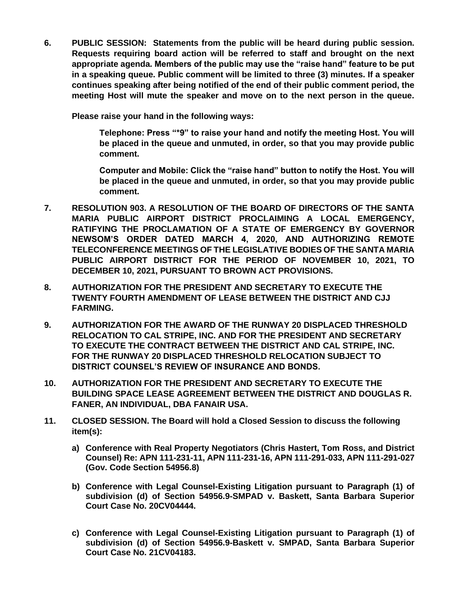**6. PUBLIC SESSION: Statements from the public will be heard during public session. Requests requiring board action will be referred to staff and brought on the next appropriate agenda. Members of the public may use the "raise hand" feature to be put in a speaking queue. Public comment will be limited to three (3) minutes. If a speaker continues speaking after being notified of the end of their public comment period, the meeting Host will mute the speaker and move on to the next person in the queue.** 

**Please raise your hand in the following ways:**

**Telephone: Press "\*9" to raise your hand and notify the meeting Host. You will be placed in the queue and unmuted, in order, so that you may provide public comment.**

**Computer and Mobile: Click the "raise hand" button to notify the Host. You will be placed in the queue and unmuted, in order, so that you may provide public comment.**

- **7. RESOLUTION 903. A RESOLUTION OF THE BOARD OF DIRECTORS OF THE SANTA MARIA PUBLIC AIRPORT DISTRICT PROCLAIMING A LOCAL EMERGENCY, RATIFYING THE PROCLAMATION OF A STATE OF EMERGENCY BY GOVERNOR NEWSOM'S ORDER DATED MARCH 4, 2020, AND AUTHORIZING REMOTE TELECONFERENCE MEETINGS OF THE LEGISLATIVE BODIES OF THE SANTA MARIA PUBLIC AIRPORT DISTRICT FOR THE PERIOD OF NOVEMBER 10, 2021, TO DECEMBER 10, 2021, PURSUANT TO BROWN ACT PROVISIONS.**
- **8. AUTHORIZATION FOR THE PRESIDENT AND SECRETARY TO EXECUTE THE TWENTY FOURTH AMENDMENT OF LEASE BETWEEN THE DISTRICT AND CJJ FARMING.**
- **9. AUTHORIZATION FOR THE AWARD OF THE RUNWAY 20 DISPLACED THRESHOLD RELOCATION TO CAL STRIPE, INC. AND FOR THE PRESIDENT AND SECRETARY TO EXECUTE THE CONTRACT BETWEEN THE DISTRICT AND CAL STRIPE, INC. FOR THE RUNWAY 20 DISPLACED THRESHOLD RELOCATION SUBJECT TO DISTRICT COUNSEL'S REVIEW OF INSURANCE AND BONDS.**
- **10. AUTHORIZATION FOR THE PRESIDENT AND SECRETARY TO EXECUTE THE BUILDING SPACE LEASE AGREEMENT BETWEEN THE DISTRICT AND DOUGLAS R. FANER, AN INDIVIDUAL, DBA FANAIR USA.**
- **11. CLOSED SESSION. The Board will hold a Closed Session to discuss the following item(s):**
	- **a) Conference with Real Property Negotiators (Chris Hastert, Tom Ross, and District Counsel) Re: APN 111-231-11, APN 111-231-16, APN 111-291-033, APN 111-291-027 (Gov. Code Section 54956.8)**
	- **b) Conference with Legal Counsel-Existing Litigation pursuant to Paragraph (1) of subdivision (d) of Section 54956.9-SMPAD v. Baskett, Santa Barbara Superior Court Case No. 20CV04444.**
	- **c) Conference with Legal Counsel-Existing Litigation pursuant to Paragraph (1) of subdivision (d) of Section 54956.9-Baskett v. SMPAD, Santa Barbara Superior Court Case No. 21CV04183.**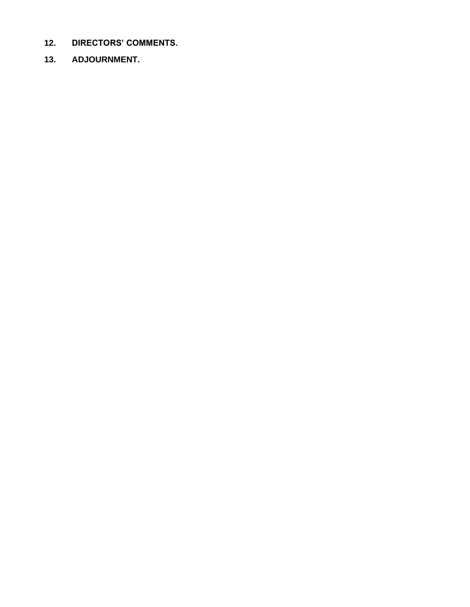- **12. DIRECTORS' COMMENTS.**
- **13. ADJOURNMENT.**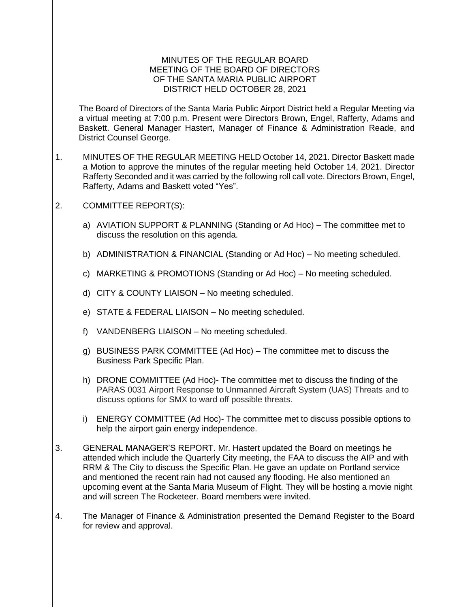### MINUTES OF THE REGULAR BOARD MEETING OF THE BOARD OF DIRECTORS OF THE SANTA MARIA PUBLIC AIRPORT DISTRICT HELD OCTOBER 28, 2021

The Board of Directors of the Santa Maria Public Airport District held a Regular Meeting via a virtual meeting at 7:00 p.m. Present were Directors Brown, Engel, Rafferty, Adams and Baskett. General Manager Hastert, Manager of Finance & Administration Reade, and District Counsel George.

- 1. MINUTES OF THE REGULAR MEETING HELD October 14, 2021. Director Baskett made a Motion to approve the minutes of the regular meeting held October 14, 2021. Director Rafferty Seconded and it was carried by the following roll call vote. Directors Brown, Engel, Rafferty, Adams and Baskett voted "Yes".
- 2. COMMITTEE REPORT(S):
	- a) AVIATION SUPPORT & PLANNING (Standing or Ad Hoc) The committee met to discuss the resolution on this agenda.
	- b) ADMINISTRATION & FINANCIAL (Standing or Ad Hoc) No meeting scheduled.
	- c) MARKETING & PROMOTIONS (Standing or Ad Hoc) No meeting scheduled.
	- d) CITY & COUNTY LIAISON No meeting scheduled.
	- e) STATE & FEDERAL LIAISON No meeting scheduled.
	- f) VANDENBERG LIAISON No meeting scheduled.
	- g) BUSINESS PARK COMMITTEE (Ad Hoc) The committee met to discuss the Business Park Specific Plan.
	- h) DRONE COMMITTEE (Ad Hoc)- The committee met to discuss the finding of the PARAS 0031 Airport Response to Unmanned Aircraft System (UAS) Threats and to discuss options for SMX to ward off possible threats.
	- i) ENERGY COMMITTEE (Ad Hoc)- The committee met to discuss possible options to help the airport gain energy independence.
- 3. GENERAL MANAGER'S REPORT. Mr. Hastert updated the Board on meetings he attended which include the Quarterly City meeting, the FAA to discuss the AIP and with RRM & The City to discuss the Specific Plan. He gave an update on Portland service and mentioned the recent rain had not caused any flooding. He also mentioned an upcoming event at the Santa Maria Museum of Flight. They will be hosting a movie night and will screen The Rocketeer. Board members were invited.
- 4. The Manager of Finance & Administration presented the Demand Register to the Board for review and approval.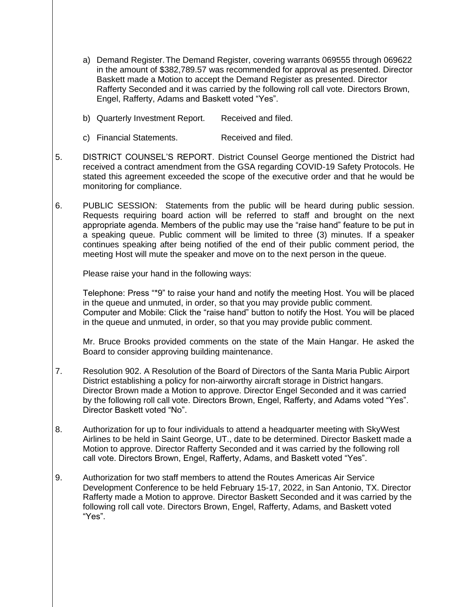- a) Demand Register.The Demand Register, covering warrants 069555 through 069622 in the amount of \$382,789.57 was recommended for approval as presented. Director Baskett made a Motion to accept the Demand Register as presented. Director Rafferty Seconded and it was carried by the following roll call vote. Directors Brown, Engel, Rafferty, Adams and Baskett voted "Yes".
- b) Quarterly Investment Report. Received and filed.
- c) Financial Statements. Received and filed.
- 5. DISTRICT COUNSEL'S REPORT. District Counsel George mentioned the District had received a contract amendment from the GSA regarding COVID-19 Safety Protocols. He stated this agreement exceeded the scope of the executive order and that he would be monitoring for compliance.
- 6. PUBLIC SESSION: Statements from the public will be heard during public session. Requests requiring board action will be referred to staff and brought on the next appropriate agenda. Members of the public may use the "raise hand" feature to be put in a speaking queue. Public comment will be limited to three (3) minutes. If a speaker continues speaking after being notified of the end of their public comment period, the meeting Host will mute the speaker and move on to the next person in the queue.

Please raise your hand in the following ways:

Telephone: Press "\*9" to raise your hand and notify the meeting Host. You will be placed in the queue and unmuted, in order, so that you may provide public comment. Computer and Mobile: Click the "raise hand" button to notify the Host. You will be placed in the queue and unmuted, in order, so that you may provide public comment.

Mr. Bruce Brooks provided comments on the state of the Main Hangar. He asked the Board to consider approving building maintenance.

- 7. Resolution 902. A Resolution of the Board of Directors of the Santa Maria Public Airport District establishing a policy for non-airworthy aircraft storage in District hangars. Director Brown made a Motion to approve. Director Engel Seconded and it was carried by the following roll call vote. Directors Brown, Engel, Rafferty, and Adams voted "Yes". Director Baskett voted "No".
- 8. Authorization for up to four individuals to attend a headquarter meeting with SkyWest Airlines to be held in Saint George, UT., date to be determined. Director Baskett made a Motion to approve. Director Rafferty Seconded and it was carried by the following roll call vote. Directors Brown, Engel, Rafferty, Adams, and Baskett voted "Yes".
- 9. Authorization for two staff members to attend the Routes Americas Air Service Development Conference to be held February 15-17, 2022, in San Antonio, TX. Director Rafferty made a Motion to approve. Director Baskett Seconded and it was carried by the following roll call vote. Directors Brown, Engel, Rafferty, Adams, and Baskett voted "Yes".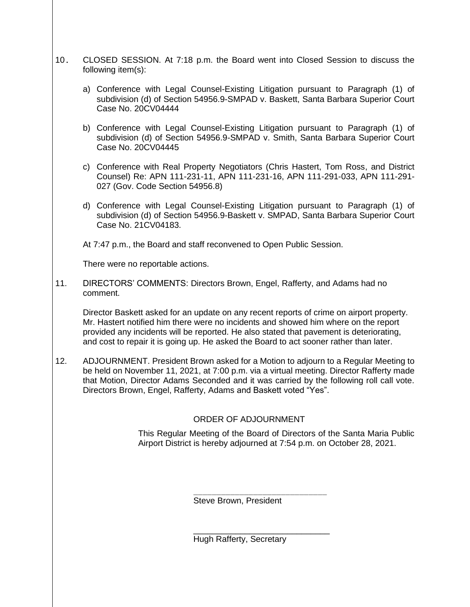- 10. CLOSED SESSION. At 7:18 p.m. the Board went into Closed Session to discuss the following item(s):
	- a) Conference with Legal Counsel-Existing Litigation pursuant to Paragraph (1) of subdivision (d) of Section 54956.9-SMPAD v. Baskett, Santa Barbara Superior Court Case No. 20CV04444
	- b) Conference with Legal Counsel-Existing Litigation pursuant to Paragraph (1) of subdivision (d) of Section 54956.9-SMPAD v. Smith, Santa Barbara Superior Court Case No. 20CV04445
	- c) Conference with Real Property Negotiators (Chris Hastert, Tom Ross, and District Counsel) Re: APN 111-231-11, APN 111-231-16, APN 111-291-033, APN 111-291- 027 (Gov. Code Section 54956.8)
	- d) Conference with Legal Counsel-Existing Litigation pursuant to Paragraph (1) of subdivision (d) of Section 54956.9-Baskett v. SMPAD, Santa Barbara Superior Court Case No. 21CV04183.

At 7:47 p.m., the Board and staff reconvened to Open Public Session.

There were no reportable actions.

11. DIRECTORS' COMMENTS: Directors Brown, Engel, Rafferty, and Adams had no comment.

Director Baskett asked for an update on any recent reports of crime on airport property. Mr. Hastert notified him there were no incidents and showed him where on the report provided any incidents will be reported. He also stated that pavement is deteriorating, and cost to repair it is going up. He asked the Board to act sooner rather than later.

12. ADJOURNMENT. President Brown asked for a Motion to adjourn to a Regular Meeting to be held on November 11, 2021, at 7:00 p.m. via a virtual meeting. Director Rafferty made that Motion, Director Adams Seconded and it was carried by the following roll call vote. Directors Brown, Engel, Rafferty, Adams and Baskett voted "Yes".

# ORDER OF ADJOURNMENT

This Regular Meeting of the Board of Directors of the Santa Maria Public Airport District is hereby adjourned at 7:54 p.m. on October 28, 2021.

Steve Brown, President

\_\_\_\_\_\_\_\_\_\_\_\_\_\_\_\_\_\_\_\_\_\_\_\_\_\_\_\_\_ Hugh Rafferty, Secretary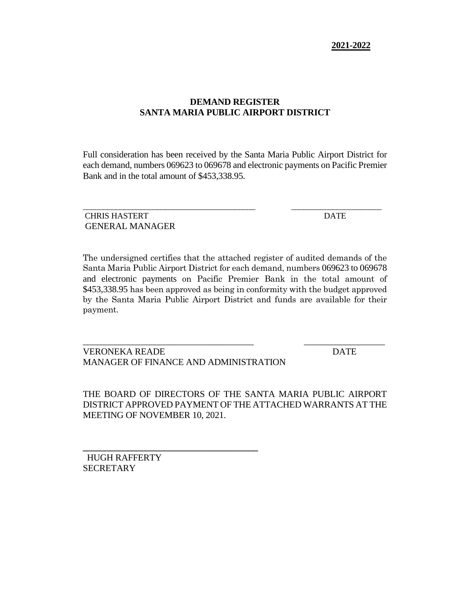# **DEMAND REGISTER SANTA MARIA PUBLIC AIRPORT DISTRICT**

Full consideration has been received by the Santa Maria Public Airport District for each demand, numbers 069623 to 069678 and electronic payments on Pacific Premier Bank and in the total amount of \$453,338.95.

\_\_\_\_\_\_\_\_\_\_\_\_\_\_\_\_\_\_\_\_\_\_\_\_\_\_\_\_\_\_\_\_\_\_\_\_\_\_\_\_\_\_ \_\_\_\_\_\_\_\_\_\_\_\_\_\_\_\_\_\_\_\_\_\_

CHRIS HASTERT DATE GENERAL MANAGER

The undersigned certifies that the attached register of audited demands of the Santa Maria Public Airport District for each demand, numbers 069623 to 069678 and electronic payments on Pacific Premier Bank in the total amount of \$453,338.95 has been approved as being in conformity with the budget approved by the Santa Maria Public Airport District and funds are available for their payment.

\_\_\_\_\_\_\_\_\_\_\_\_\_\_\_\_\_\_\_\_\_\_\_\_\_\_\_\_\_\_\_\_\_\_\_\_\_\_ \_\_\_\_\_\_\_\_\_\_\_\_\_\_\_\_\_\_

VERONEKA READE DATE MANAGER OF FINANCE AND ADMINISTRATION

**\_\_\_\_\_\_\_\_\_\_\_\_\_\_\_\_\_\_\_\_\_\_\_\_\_\_\_\_\_\_\_\_\_\_\_\_\_\_\_**

THE BOARD OF DIRECTORS OF THE SANTA MARIA PUBLIC AIRPORT DISTRICT APPROVED PAYMENT OF THE ATTACHED WARRANTS AT THE MEETING OF NOVEMBER 10, 2021.

HUGH RAFFERTY **SECRETARY**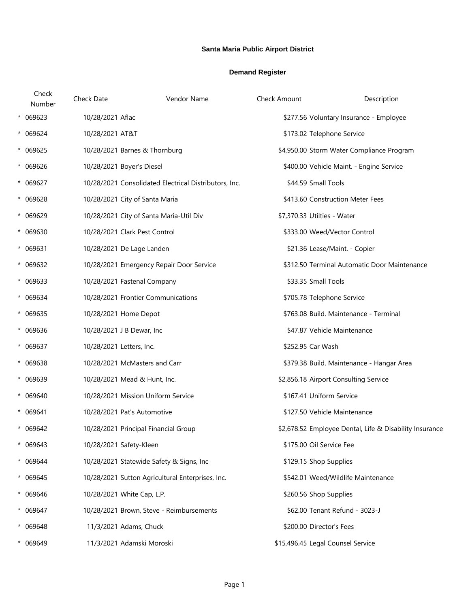## **Santa Maria Public Airport District**

#### **Demand Register**

| Check<br>Number | Check Date<br>Vendor Name                             | Check Amount                      | Description                                             |
|-----------------|-------------------------------------------------------|-----------------------------------|---------------------------------------------------------|
| * 069623        | 10/28/2021 Aflac                                      |                                   | \$277.56 Voluntary Insurance - Employee                 |
| * 069624        | 10/28/2021 AT&T                                       | \$173.02 Telephone Service        |                                                         |
| $* 069625$      | 10/28/2021 Barnes & Thornburg                         |                                   | \$4,950.00 Storm Water Compliance Program               |
| * 069626        | 10/28/2021 Boyer's Diesel                             |                                   | \$400.00 Vehicle Maint. - Engine Service                |
| * 069627        | 10/28/2021 Consolidated Electrical Distributors, Inc. | \$44.59 Small Tools               |                                                         |
| * 069628        | 10/28/2021 City of Santa Maria                        |                                   | \$413.60 Construction Meter Fees                        |
| * 069629        | 10/28/2021 City of Santa Maria-Util Div               | \$7,370.33 Utilties - Water       |                                                         |
| * 069630        | 10/28/2021 Clark Pest Control                         |                                   | \$333.00 Weed/Vector Control                            |
| * 069631        | 10/28/2021 De Lage Landen                             |                                   | \$21.36 Lease/Maint. - Copier                           |
| * 069632        | 10/28/2021 Emergency Repair Door Service              |                                   | \$312.50 Terminal Automatic Door Maintenance            |
| $* 069633$      | 10/28/2021 Fastenal Company                           | \$33.35 Small Tools               |                                                         |
| * 069634        | 10/28/2021 Frontier Communications                    | \$705.78 Telephone Service        |                                                         |
| * 069635        | 10/28/2021 Home Depot                                 |                                   | \$763.08 Build. Maintenance - Terminal                  |
| * 069636        | 10/28/2021 J B Dewar, Inc                             |                                   | \$47.87 Vehicle Maintenance                             |
| * 069637        | 10/28/2021 Letters, Inc.                              | \$252.95 Car Wash                 |                                                         |
| $* 069638$      | 10/28/2021 McMasters and Carr                         |                                   | \$379.38 Build. Maintenance - Hangar Area               |
| $* 069639$      | 10/28/2021 Mead & Hunt, Inc.                          |                                   | \$2,856.18 Airport Consulting Service                   |
| * 069640        | 10/28/2021 Mission Uniform Service                    | \$167.41 Uniform Service          |                                                         |
| $* 069641$      | 10/28/2021 Pat's Automotive                           |                                   | \$127.50 Vehicle Maintenance                            |
| * 069642        | 10/28/2021 Principal Financial Group                  |                                   | \$2,678.52 Employee Dental, Life & Disability Insurance |
| $* 069643$      | 10/28/2021 Safety-Kleen                               | \$175.00 Oil Service Fee          |                                                         |
| * 069644        | 10/28/2021 Statewide Safety & Signs, Inc              | \$129.15 Shop Supplies            |                                                         |
| $* 069645$      | 10/28/2021 Sutton Agricultural Enterprises, Inc.      |                                   | \$542.01 Weed/Wildlife Maintenance                      |
| * 069646        | 10/28/2021 White Cap, L.P.                            | \$260.56 Shop Supplies            |                                                         |
| * 069647        | 10/28/2021 Brown, Steve - Reimbursements              |                                   | \$62.00 Tenant Refund - 3023-J                          |
| * 069648        | 11/3/2021 Adams, Chuck                                | \$200.00 Director's Fees          |                                                         |
| * 069649        | 11/3/2021 Adamski Moroski                             | \$15,496.45 Legal Counsel Service |                                                         |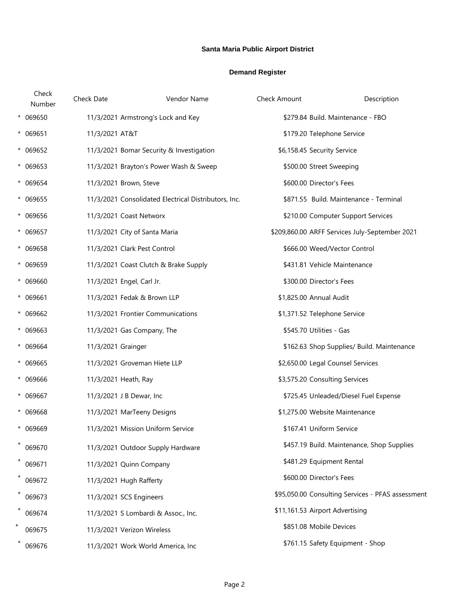## **Santa Maria Public Airport District**

#### **Demand Register**

|         | Check<br>Number | Check Date         | Vendor Name                                          | Check Amount | Description                                       |
|---------|-----------------|--------------------|------------------------------------------------------|--------------|---------------------------------------------------|
|         | * 069650        |                    | 11/3/2021 Armstrong's Lock and Key                   |              | \$279.84 Build. Maintenance - FBO                 |
|         | $* 069651$      | 11/3/2021 AT&T     |                                                      |              | \$179.20 Telephone Service                        |
|         | * 069652        |                    | 11/3/2021 Bomar Security & Investigation             |              | \$6,158.45 Security Service                       |
|         | $* 069653$      |                    | 11/3/2021 Brayton's Power Wash & Sweep               |              | \$500.00 Street Sweeping                          |
|         | * 069654        |                    | 11/3/2021 Brown, Steve                               |              | \$600.00 Director's Fees                          |
|         | $* 069655$      |                    | 11/3/2021 Consolidated Electrical Distributors, Inc. |              | \$871.55 Build. Maintenance - Terminal            |
|         | * 069656        |                    | 11/3/2021 Coast Networx                              |              | \$210.00 Computer Support Services                |
|         | * 069657        |                    | 11/3/2021 City of Santa Maria                        |              | \$209,860.00 ARFF Services July-September 2021    |
|         | * 069658        |                    | 11/3/2021 Clark Pest Control                         |              | \$666.00 Weed/Vector Control                      |
|         | * 069659        |                    | 11/3/2021 Coast Clutch & Brake Supply                |              | \$431.81 Vehicle Maintenance                      |
|         | * 069660        |                    | 11/3/2021 Engel, Carl Jr.                            |              | \$300.00 Director's Fees                          |
|         | * 069661        |                    | 11/3/2021 Fedak & Brown LLP                          |              | \$1,825.00 Annual Audit                           |
|         | $* 069662$      |                    | 11/3/2021 Frontier Communications                    |              | \$1,371.52 Telephone Service                      |
|         | $* 069663$      |                    | 11/3/2021 Gas Company, The                           |              | \$545.70 Utilities - Gas                          |
|         | $* 069664$      | 11/3/2021 Grainger |                                                      |              | \$162.63 Shop Supplies/ Build. Maintenance        |
|         | $* 069665$      |                    | 11/3/2021 Groveman Hiete LLP                         |              | \$2,650.00 Legal Counsel Services                 |
|         | * 069666        |                    | 11/3/2021 Heath, Ray                                 |              | \$3,575.20 Consulting Services                    |
|         | * 069667        |                    | 11/3/2021 J B Dewar, Inc                             |              | \$725.45 Unleaded/Diesel Fuel Expense             |
|         | * 069668        |                    | 11/3/2021 MarTeeny Designs                           |              | \$1,275.00 Website Maintenance                    |
|         | $* 069669$      |                    | 11/3/2021 Mission Uniform Service                    |              | \$167.41 Uniform Service                          |
|         | 069670          |                    | 11/3/2021 Outdoor Supply Hardware                    |              | \$457.19 Build. Maintenance, Shop Supplies        |
|         | 069671          |                    | 11/3/2021 Quinn Company                              |              | \$481.29 Equipment Rental                         |
| $\star$ | 069672          |                    | 11/3/2021 Hugh Rafferty                              |              | \$600.00 Director's Fees                          |
|         | $*$ 069673      |                    | 11/3/2021 SCS Engineers                              |              | \$95,050.00 Consulting Services - PFAS assessment |
|         | 069674          |                    | 11/3/2021 S Lombardi & Assoc., Inc.                  |              | \$11,161.53 Airport Advertising                   |
|         | 069675          |                    | 11/3/2021 Verizon Wireless                           |              | \$851.08 Mobile Devices                           |
|         | 069676          |                    | 11/3/2021 Work World America, Inc                    |              | \$761.15 Safety Equipment - Shop                  |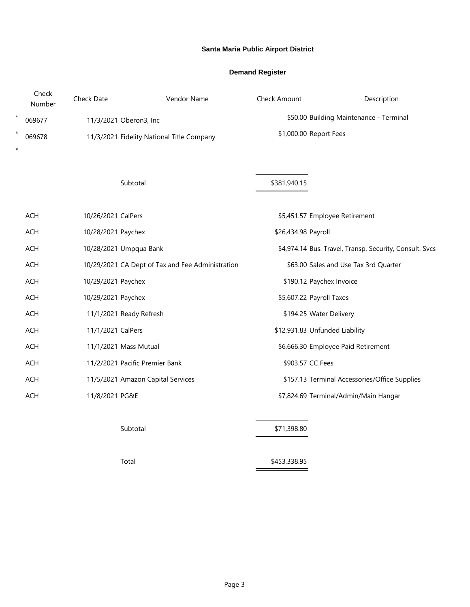## **Santa Maria Public Airport District**

#### **Demand Register**

|          | Check<br>Number | Check Date         | Vendor Name                                      | Check Amount                            | Description                                             |
|----------|-----------------|--------------------|--------------------------------------------------|-----------------------------------------|---------------------------------------------------------|
| $^\star$ | 069677          |                    | 11/3/2021 Oberon3, Inc                           | \$50.00 Building Maintenance - Terminal |                                                         |
| $^\star$ | 069678          |                    | 11/3/2021 Fidelity National Title Company        |                                         | \$1,000.00 Report Fees                                  |
| $\star$  |                 |                    |                                                  |                                         |                                                         |
|          |                 |                    |                                                  |                                         |                                                         |
|          |                 |                    | Subtotal                                         | \$381,940.15                            |                                                         |
|          | <b>ACH</b>      | 10/26/2021 CalPers |                                                  |                                         | \$5,451.57 Employee Retirement                          |
|          | <b>ACH</b>      | 10/28/2021 Paychex |                                                  | \$26,434.98 Payroll                     |                                                         |
|          | <b>ACH</b>      |                    | 10/28/2021 Umpqua Bank                           |                                         | \$4,974.14 Bus. Travel, Transp. Security, Consult. Svcs |
|          | ACH             |                    | 10/29/2021 CA Dept of Tax and Fee Administration |                                         | \$63.00 Sales and Use Tax 3rd Quarter                   |
|          | <b>ACH</b>      | 10/29/2021 Paychex |                                                  |                                         | \$190.12 Paychex Invoice                                |
|          | <b>ACH</b>      | 10/29/2021 Paychex |                                                  |                                         | \$5,607.22 Payroll Taxes                                |
|          | ACH             |                    | 11/1/2021 Ready Refresh                          |                                         | \$194.25 Water Delivery                                 |
|          | <b>ACH</b>      | 11/1/2021 CalPers  |                                                  |                                         | \$12,931.83 Unfunded Liability                          |
|          | <b>ACH</b>      |                    | 11/1/2021 Mass Mutual                            |                                         | \$6,666.30 Employee Paid Retirement                     |
|          | ACH             |                    | 11/2/2021 Pacific Premier Bank                   |                                         | \$903.57 CC Fees                                        |
|          | <b>ACH</b>      |                    | 11/5/2021 Amazon Capital Services                |                                         | \$157.13 Terminal Accessories/Office Supplies           |
|          | <b>ACH</b>      | 11/8/2021 PG&E     |                                                  |                                         | \$7,824.69 Terminal/Admin/Main Hangar                   |
|          |                 |                    |                                                  |                                         |                                                         |
|          |                 |                    | Subtotal                                         | \$71,398.80                             |                                                         |
|          |                 |                    |                                                  |                                         |                                                         |

Total \$453,338.95 Ĩ.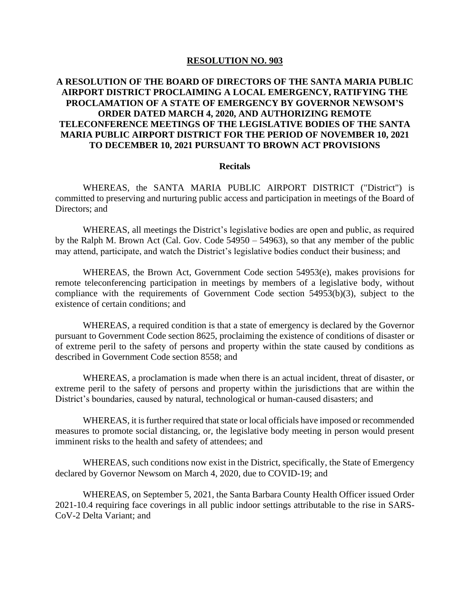#### **RESOLUTION NO. 903**

## **A RESOLUTION OF THE BOARD OF DIRECTORS OF THE SANTA MARIA PUBLIC AIRPORT DISTRICT PROCLAIMING A LOCAL EMERGENCY, RATIFYING THE PROCLAMATION OF A STATE OF EMERGENCY BY GOVERNOR NEWSOM'S ORDER DATED MARCH 4, 2020, AND AUTHORIZING REMOTE TELECONFERENCE MEETINGS OF THE LEGISLATIVE BODIES OF THE SANTA MARIA PUBLIC AIRPORT DISTRICT FOR THE PERIOD OF NOVEMBER 10, 2021 TO DECEMBER 10, 2021 PURSUANT TO BROWN ACT PROVISIONS**

#### **Recitals**

WHEREAS, the SANTA MARIA PUBLIC AIRPORT DISTRICT ("District") is committed to preserving and nurturing public access and participation in meetings of the Board of Directors; and

WHEREAS, all meetings the District's legislative bodies are open and public, as required by the Ralph M. Brown Act (Cal. Gov. Code 54950 – 54963), so that any member of the public may attend, participate, and watch the District's legislative bodies conduct their business; and

WHEREAS, the Brown Act, Government Code section 54953(e), makes provisions for remote teleconferencing participation in meetings by members of a legislative body, without compliance with the requirements of Government Code section 54953(b)(3), subject to the existence of certain conditions; and

WHEREAS, a required condition is that a state of emergency is declared by the Governor pursuant to Government Code section 8625, proclaiming the existence of conditions of disaster or of extreme peril to the safety of persons and property within the state caused by conditions as described in Government Code section 8558; and

WHEREAS, a proclamation is made when there is an actual incident, threat of disaster, or extreme peril to the safety of persons and property within the jurisdictions that are within the District's boundaries, caused by natural, technological or human-caused disasters; and

WHEREAS, it is further required that state or local officials have imposed or recommended measures to promote social distancing, or, the legislative body meeting in person would present imminent risks to the health and safety of attendees; and

WHEREAS, such conditions now exist in the District, specifically, the State of Emergency declared by Governor Newsom on March 4, 2020, due to COVID-19; and

WHEREAS, on September 5, 2021, the Santa Barbara County Health Officer issued Order 2021-10.4 requiring face coverings in all public indoor settings attributable to the rise in SARS-CoV-2 Delta Variant; and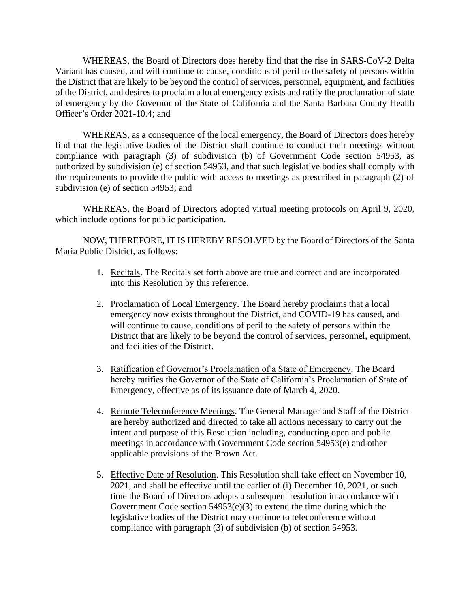WHEREAS, the Board of Directors does hereby find that the rise in SARS-CoV-2 Delta Variant has caused, and will continue to cause, conditions of peril to the safety of persons within the District that are likely to be beyond the control of services, personnel, equipment, and facilities of the District, and desires to proclaim a local emergency exists and ratify the proclamation of state of emergency by the Governor of the State of California and the Santa Barbara County Health Officer's Order 2021-10.4; and

WHEREAS, as a consequence of the local emergency, the Board of Directors does hereby find that the legislative bodies of the District shall continue to conduct their meetings without compliance with paragraph (3) of subdivision (b) of Government Code section 54953, as authorized by subdivision (e) of section 54953, and that such legislative bodies shall comply with the requirements to provide the public with access to meetings as prescribed in paragraph (2) of subdivision (e) of section 54953; and

WHEREAS, the Board of Directors adopted virtual meeting protocols on April 9, 2020, which include options for public participation.

NOW, THEREFORE, IT IS HEREBY RESOLVED by the Board of Directors of the Santa Maria Public District, as follows:

- 1. Recitals. The Recitals set forth above are true and correct and are incorporated into this Resolution by this reference.
- 2. Proclamation of Local Emergency. The Board hereby proclaims that a local emergency now exists throughout the District, and COVID-19 has caused, and will continue to cause, conditions of peril to the safety of persons within the District that are likely to be beyond the control of services, personnel, equipment, and facilities of the District.
- 3. Ratification of Governor's Proclamation of a State of Emergency. The Board hereby ratifies the Governor of the State of California's Proclamation of State of Emergency, effective as of its issuance date of March 4, 2020.
- 4. Remote Teleconference Meetings. The General Manager and Staff of the District are hereby authorized and directed to take all actions necessary to carry out the intent and purpose of this Resolution including, conducting open and public meetings in accordance with Government Code section 54953(e) and other applicable provisions of the Brown Act.
- 5. Effective Date of Resolution. This Resolution shall take effect on November 10, 2021, and shall be effective until the earlier of (i) December 10, 2021, or such time the Board of Directors adopts a subsequent resolution in accordance with Government Code section 54953(e)(3) to extend the time during which the legislative bodies of the District may continue to teleconference without compliance with paragraph (3) of subdivision (b) of section 54953.